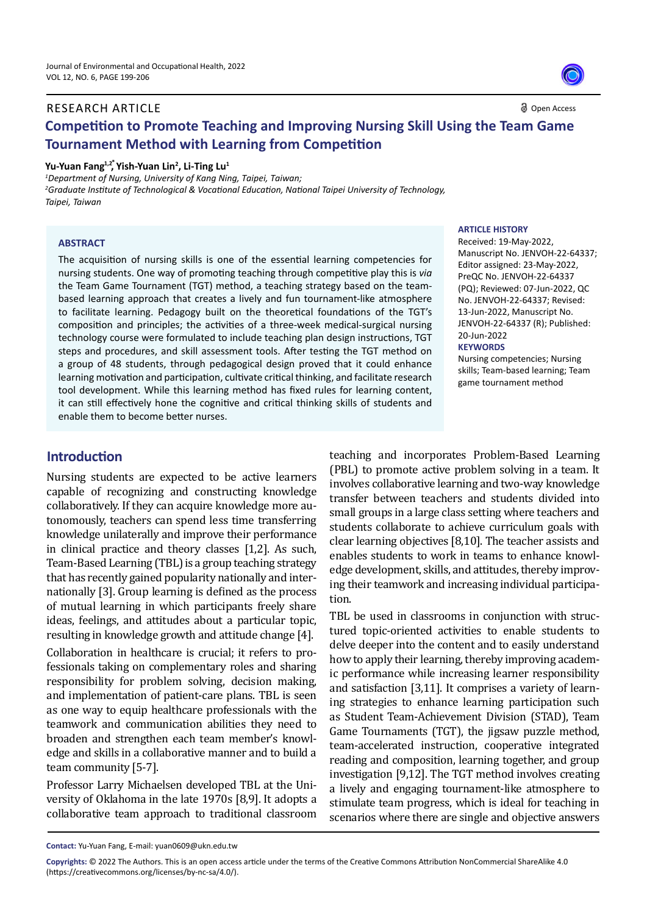#### RESEARCH ARTICLE

Open Access

# **Competition to Promote Teaching and Improving Nursing Skill Using the Team Game Tournament Method with Learning from Competition**

### Yu-Yuan Fang<sup>1,2\*</sup>, Yish-Yuan Lin<sup>2</sup>, Li-Ting Lu<sup>1</sup>

*1 Department of Nursing, University of Kang Ning, Taipei, Taiwan; 2 Graduate Institute of Technological & Vocational Education, National Taipei University of Technology, Taipei, Taiwan*

#### **ABSTRACT**

The acquisition of nursing skills is one of the essential learning competencies for nursing students. One way of promoting teaching through competitive play this is *via*  the Team Game Tournament (TGT) method, a teaching strategy based on the teambased learning approach that creates a lively and fun tournament-like atmosphere to facilitate learning. Pedagogy built on the theoretical foundations of the TGT's composition and principles; the activities of a three-week medical-surgical nursing technology course were formulated to include teaching plan design instructions, TGT steps and procedures, and skill assessment tools. After testing the TGT method on a group of 48 students, through pedagogical design proved that it could enhance learning motivation and participation, cultivate critical thinking, and facilitate research tool development. While this learning method has fixed rules for learning content, it can still effectively hone the cognitive and critical thinking skills of students and enable them to become better nurses.

#### **ARTICLE HISTORY**

Received: 19-May-2022, Manuscript No. JENVOH-22-64337; Editor assigned: 23-May-2022, PreQC No. JENVOH-22-64337 (PQ); Reviewed: 07-Jun-2022, QC No. JENVOH-22-64337; Revised: 13-Jun-2022, Manuscript No. JENVOH-22-64337 (R); Published: 20-Jun-2022

#### **KEYWORDS**

Nursing competencies; Nursing skills; Team-based learning; Team game tournament method

### **Introduction**

Nursing students are expected to be active learners capable of recognizing and constructing knowledge collaboratively. If they can acquire knowledge more autonomously, teachers can spend less time transferring knowledge unilaterally and improve their performance in clinical practice and theory classes [1,2]. As such, Team-Based Learning (TBL) is a group teaching strategy that has recently gained popularity nationally and internationally [3]. Group learning is defined as the process of mutual learning in which participants freely share ideas, feelings, and attitudes about a particular topic, resulting in knowledge growth and attitude change [4].

Collaboration in healthcare is crucial; it refers to professionals taking on complementary roles and sharing responsibility for problem solving, decision making, and implementation of patient-care plans. TBL is seen as one way to equip healthcare professionals with the teamwork and communication abilities they need to broaden and strengthen each team member's knowledge and skills in a collaborative manner and to build a team community [5-7].

Professor Larry Michaelsen developed TBL at the University of Oklahoma in the late 1970s [8,9]. It adopts a collaborative team approach to traditional classroom teaching and incorporates Problem-Based Learning (PBL) to promote active problem solving in a team. It involves collaborative learning and two-way knowledge transfer between teachers and students divided into small groups in a large class setting where teachers and students collaborate to achieve curriculum goals with clear learning objectives [8,10]. The teacher assists and enables students to work in teams to enhance knowledge development, skills, and attitudes, thereby improving their teamwork and increasing individual participation.

TBL be used in classrooms in conjunction with structured topic-oriented activities to enable students to delve deeper into the content and to easily understand how to apply their learning, thereby improving academic performance while increasing learner responsibility and satisfaction [3,11]. It comprises a variety of learning strategies to enhance learning participation such as Student Team-Achievement Division (STAD), Team Game Tournaments (TGT), the jigsaw puzzle method, team-accelerated instruction, cooperative integrated reading and composition, learning together, and group investigation [9,12]. The TGT method involves creating a lively and engaging tournament-like atmosphere to stimulate team progress, which is ideal for teaching in scenarios where there are single and objective answers

**Contact:** Yu-Yuan Fang, E-mail: yuan0609@ukn.edu.tw

**Copyrights:** © 2022 The Authors. This is an open access article under the terms of the Creative Commons Attribution NonCommercial ShareAlike 4.0 (https://creativecommons.org/licenses/by-nc-sa/4.0/).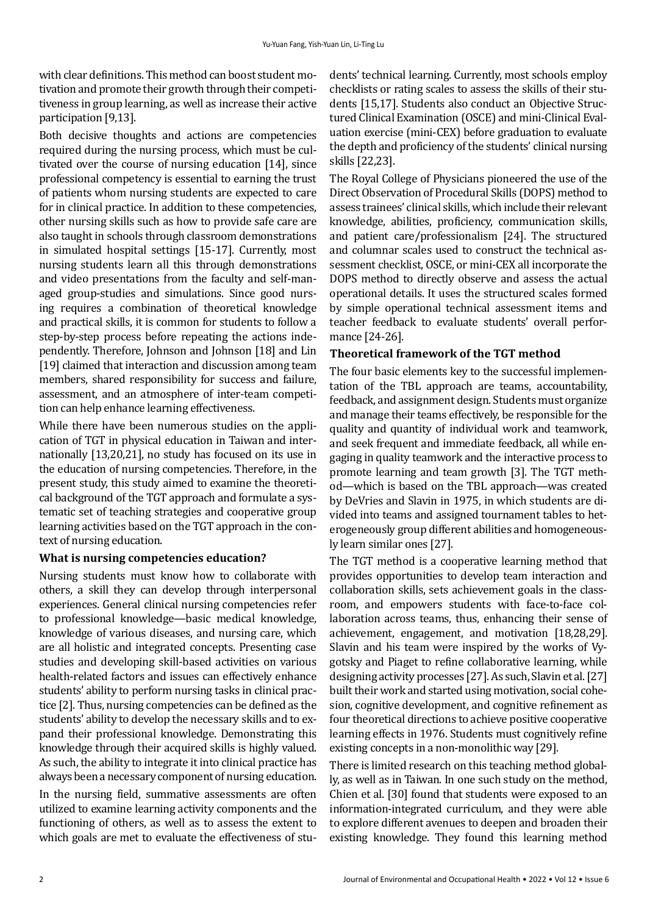with clear definitions. This method can boost student motivation and promote their growth through their competitiveness in group learning, as well as increase their active participation [9,13].

Both decisive thoughts and actions are competencies required during the nursing process, which must be cultivated over the course of nursing education [14], since professional competency is essential to earning the trust of patients whom nursing students are expected to care for in clinical practice. In addition to these competencies, other nursing skills such as how to provide safe care are also taught in schools through classroom demonstrations in simulated hospital settings [15-17]. Currently, most nursing students learn all this through demonstrations and video presentations from the faculty and self-managed group-studies and simulations. Since good nursing requires a combination of theoretical knowledge and practical skills, it is common for students to follow a step-by-step process before repeating the actions independently. Therefore, Johnson and Johnson [18] and Lin [19] claimed that interaction and discussion among team members, shared responsibility for success and failure, assessment, and an atmosphere of inter-team competition can help enhance learning effectiveness.

While there have been numerous studies on the application of TGT in physical education in Taiwan and internationally [13,20,21], no study has focused on its use in the education of nursing competencies. Therefore, in the present study, this study aimed to examine the theoretical background of the TGT approach and formulate a systematic set of teaching strategies and cooperative group learning activities based on the TGT approach in the context of nursing education.

### **What is nursing competencies education?**

Nursing students must know how to collaborate with others, a skill they can develop through interpersonal experiences. General clinical nursing competencies refer to professional knowledge—basic medical knowledge, knowledge of various diseases, and nursing care, which are all holistic and integrated concepts. Presenting case studies and developing skill-based activities on various health-related factors and issues can effectively enhance students' ability to perform nursing tasks in clinical practice [2]. Thus, nursing competencies can be defined as the students' ability to develop the necessary skills and to expand their professional knowledge. Demonstrating this knowledge through their acquired skills is highly valued. As such, the ability to integrate it into clinical practice has always been a necessary component of nursing education.

In the nursing field, summative assessments are often utilized to examine learning activity components and the functioning of others, as well as to assess the extent to which goals are met to evaluate the effectiveness of students' technical learning. Currently, most schools employ checklists or rating scales to assess the skills of their students [15,17]. Students also conduct an Objective Structured Clinical Examination (OSCE) and mini-Clinical Evaluation exercise (mini-CEX) before graduation to evaluate the depth and proficiency of the students' clinical nursing skills [22,23].

The Royal College of Physicians pioneered the use of the Direct Observation of Procedural Skills (DOPS) method to assess trainees' clinical skills, which include their relevant knowledge, abilities, proficiency, communication skills, and patient care/professionalism [24]. The structured and columnar scales used to construct the technical assessment checklist, OSCE, or mini-CEX all incorporate the DOPS method to directly observe and assess the actual operational details. It uses the structured scales formed by simple operational technical assessment items and teacher feedback to evaluate students' overall performance [24-26].

### **Theoretical framework of the TGT method**

The four basic elements key to the successful implementation of the TBL approach are teams, accountability, feedback, and assignment design. Students must organize and manage their teams effectively, be responsible for the quality and quantity of individual work and teamwork, and seek frequent and immediate feedback, all while engaging in quality teamwork and the interactive process to promote learning and team growth [3]. The TGT method—which is based on the TBL approach—was created by DeVries and Slavin in 1975, in which students are divided into teams and assigned tournament tables to heterogeneously group different abilities and homogeneously learn similar ones [27].

The TGT method is a cooperative learning method that provides opportunities to develop team interaction and collaboration skills, sets achievement goals in the classroom, and empowers students with face-to-face collaboration across teams, thus, enhancing their sense of achievement, engagement, and motivation [18,28,29]. Slavin and his team were inspired by the works of Vygotsky and Piaget to refine collaborative learning, while designing activity processes [27]. As such, Slavin et al. [27] built their work and started using motivation, social cohesion, cognitive development, and cognitive refinement as four theoretical directions to achieve positive cooperative learning effects in 1976. Students must cognitively refine existing concepts in a non-monolithic way [29].

There is limited research on this teaching method globally, as well as in Taiwan. In one such study on the method, Chien et al. [30] found that students were exposed to an information-integrated curriculum, and they were able to explore different avenues to deepen and broaden their existing knowledge. They found this learning method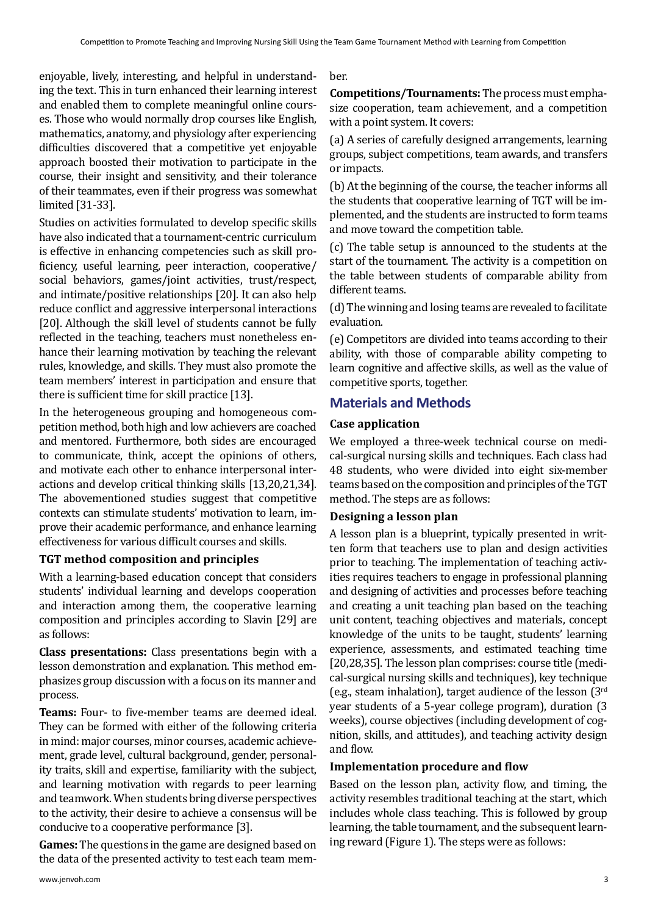enjoyable, lively, interesting, and helpful in understanding the text. This in turn enhanced their learning interest and enabled them to complete meaningful online courses. Those who would normally drop courses like English, mathematics, anatomy, and physiology after experiencing difficulties discovered that a competitive yet enjoyable approach boosted their motivation to participate in the course, their insight and sensitivity, and their tolerance of their teammates, even if their progress was somewhat limited [31-33].

Studies on activities formulated to develop specific skills have also indicated that a tournament-centric curriculum is effective in enhancing competencies such as skill proficiency, useful learning, peer interaction, cooperative/ social behaviors, games/joint activities, trust/respect, and intimate/positive relationships [20]. It can also help reduce conflict and aggressive interpersonal interactions [20]. Although the skill level of students cannot be fully reflected in the teaching, teachers must nonetheless enhance their learning motivation by teaching the relevant rules, knowledge, and skills. They must also promote the team members' interest in participation and ensure that there is sufficient time for skill practice [13].

In the heterogeneous grouping and homogeneous competition method, both high and low achievers are coached and mentored. Furthermore, both sides are encouraged to communicate, think, accept the opinions of others, and motivate each other to enhance interpersonal interactions and develop critical thinking skills [13,20,21,34]. The abovementioned studies suggest that competitive contexts can stimulate students' motivation to learn, improve their academic performance, and enhance learning effectiveness for various difficult courses and skills.

### **TGT method composition and principles**

With a learning-based education concept that considers students' individual learning and develops cooperation and interaction among them, the cooperative learning composition and principles according to Slavin [29] are as follows:

**Class presentations:** Class presentations begin with a lesson demonstration and explanation. This method emphasizes group discussion with a focus on its manner and process.

**Teams:** Four- to five-member teams are deemed ideal. They can be formed with either of the following criteria in mind: major courses, minor courses, academic achievement, grade level, cultural background, gender, personality traits, skill and expertise, familiarity with the subject, and learning motivation with regards to peer learning and teamwork. When students bring diverse perspectives to the activity, their desire to achieve a consensus will be conducive to a cooperative performance [3].

**Games:** The questions in the game are designed based on the data of the presented activity to test each team member.

**Competitions/Tournaments:** The process must emphasize cooperation, team achievement, and a competition with a point system. It covers:

(a) A series of carefully designed arrangements, learning groups, subject competitions, team awards, and transfers or impacts.

(b) At the beginning of the course, the teacher informs all the students that cooperative learning of TGT will be implemented, and the students are instructed to form teams and move toward the competition table.

(c) The table setup is announced to the students at the start of the tournament. The activity is a competition on the table between students of comparable ability from different teams.

(d) The winning and losing teams are revealed to facilitate evaluation.

(e) Competitors are divided into teams according to their ability, with those of comparable ability competing to learn cognitive and affective skills, as well as the value of competitive sports, together.

### **Materials and Methods**

### **Case application**

We employed a three-week technical course on medical-surgical nursing skills and techniques. Each class had 48 students, who were divided into eight six-member teams based on the composition and principles of the TGT method. The steps are as follows:

### **Designing a lesson plan**

A lesson plan is a blueprint, typically presented in written form that teachers use to plan and design activities prior to teaching. The implementation of teaching activities requires teachers to engage in professional planning and designing of activities and processes before teaching and creating a unit teaching plan based on the teaching unit content, teaching objectives and materials, concept knowledge of the units to be taught, students' learning experience, assessments, and estimated teaching time [20,28,35]. The lesson plan comprises: course title (medical-surgical nursing skills and techniques), key technique (e.g., steam inhalation), target audience of the lesson  $(3<sup>rd</sup>$ year students of a 5-year college program), duration (3 weeks), course objectives (including development of cognition, skills, and attitudes), and teaching activity design and flow.

### **Implementation procedure and flow**

Based on the lesson plan, activity flow, and timing, the activity resembles traditional teaching at the start, which includes whole class teaching. This is followed by group learning, the table tournament, and the subsequent learning reward (Figure 1). The steps were as follows: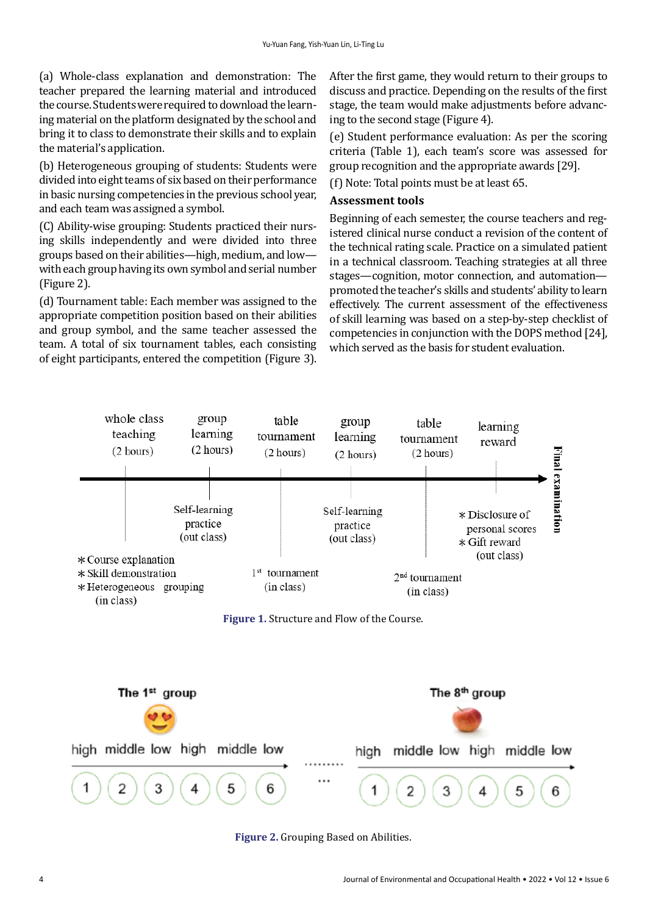(a) Whole-class explanation and demonstration: The teacher prepared the learning material and introduced the course. Students were required to download the learning material on the platform designated by the school and bring it to class to demonstrate their skills and to explain the material's application.

(b) Heterogeneous grouping of students: Students were divided into eight teams of six based on their performance in basic nursing competencies in the previous school year, and each team was assigned a symbol.

(C) Ability-wise grouping: Students practiced their nursing skills independently and were divided into three groups based on their abilities—high, medium, and low with each group having its own symbol and serial number (Figure 2).

(d) Tournament table: Each member was assigned to the appropriate competition position based on their abilities and group symbol, and the same teacher assessed the team. A total of six tournament tables, each consisting of eight participants, entered the competition (Figure 3). After the first game, they would return to their groups to discuss and practice. Depending on the results of the first stage, the team would make adjustments before advancing to the second stage (Figure 4).

(e) Student performance evaluation: As per the scoring criteria (Table 1), each team's score was assessed for group recognition and the appropriate awards [29].

(f) Note: Total points must be at least 65.

### **Assessment tools**

Beginning of each semester, the course teachers and registered clinical nurse conduct a revision of the content of the technical rating scale. Practice on a simulated patient in a technical classroom. Teaching strategies at all three stages—cognition, motor connection, and automation promoted the teacher's skills and students' ability to learn effectively. The current assessment of the effectiveness of skill learning was based on a step-by-step checklist of competencies in conjunction with the DOPS method [24], which served as the basis for student evaluation.



**Figure 2.** Grouping Based on Abilities.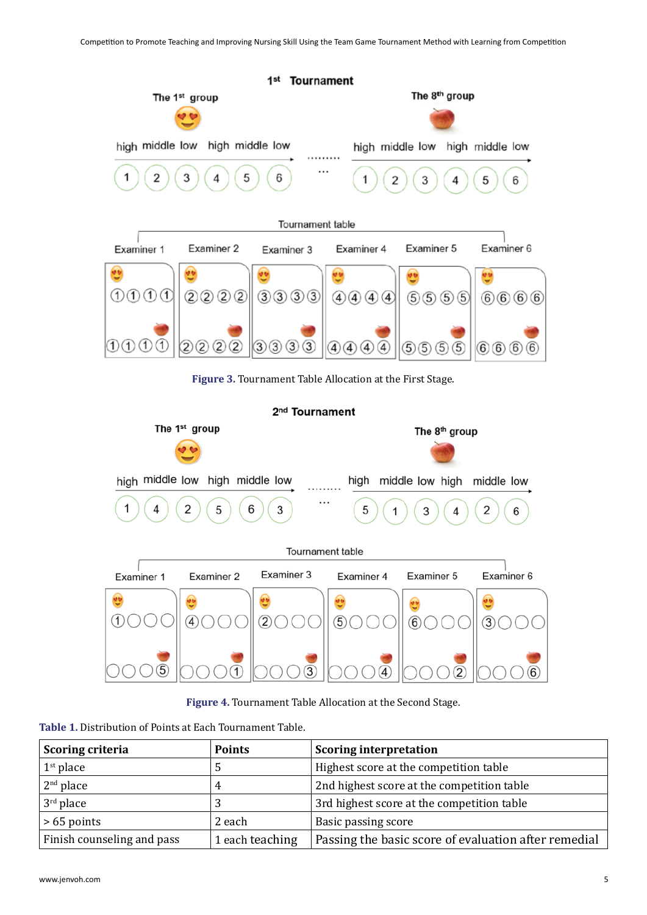

2<sup>nd</sup> Tournament



**Figure 4.** Tournament Table Allocation at the Second Stage.

**Table 1.** Distribution of Points at Each Tournament Table.

| Scoring criteria           | <b>Points</b>   | <b>Scoring interpretation</b>                        |
|----------------------------|-----------------|------------------------------------------------------|
| $1st$ place                |                 | Highest score at the competition table               |
| $2nd$ place                | 4               | 2nd highest score at the competition table           |
| $3rd$ place                | 2               | 3rd highest score at the competition table           |
| $>65$ points               | 2 each          | Basic passing score                                  |
| Finish counseling and pass | 1 each teaching | Passing the basic score of evaluation after remedial |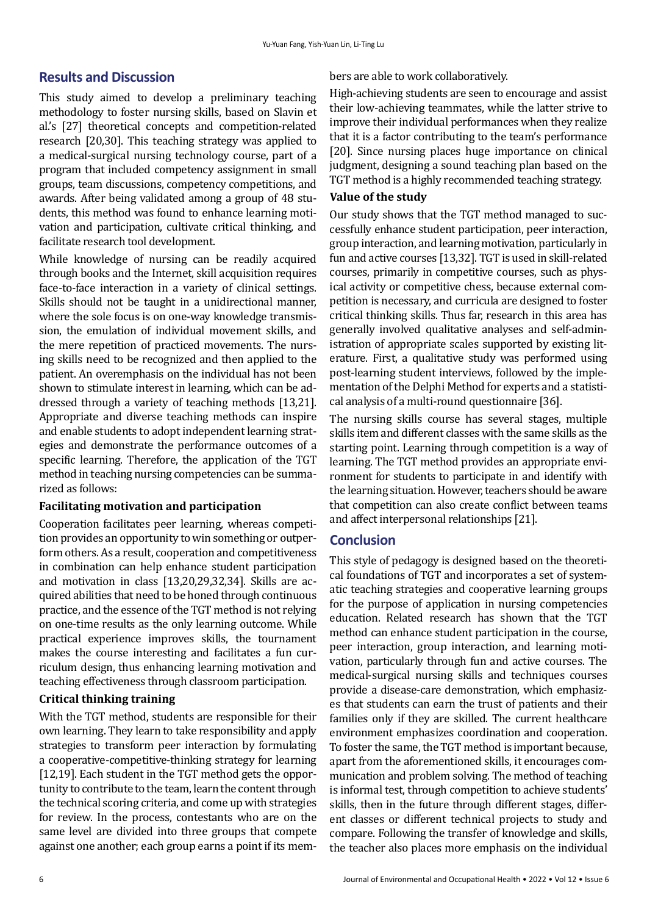## **Results and Discussion**

This study aimed to develop a preliminary teaching methodology to foster nursing skills, based on Slavin et al.'s [27] theoretical concepts and competition-related research [20,30]. This teaching strategy was applied to a medical-surgical nursing technology course, part of a program that included competency assignment in small groups, team discussions, competency competitions, and awards. After being validated among a group of 48 students, this method was found to enhance learning motivation and participation, cultivate critical thinking, and facilitate research tool development.

While knowledge of nursing can be readily acquired through books and the Internet, skill acquisition requires face-to-face interaction in a variety of clinical settings. Skills should not be taught in a unidirectional manner, where the sole focus is on one-way knowledge transmission, the emulation of individual movement skills, and the mere repetition of practiced movements. The nursing skills need to be recognized and then applied to the patient. An overemphasis on the individual has not been shown to stimulate interest in learning, which can be addressed through a variety of teaching methods [13,21]. Appropriate and diverse teaching methods can inspire and enable students to adopt independent learning strategies and demonstrate the performance outcomes of a specific learning. Therefore, the application of the TGT method in teaching nursing competencies can be summarized as follows:

### **Facilitating motivation and participation**

Cooperation facilitates peer learning, whereas competition provides an opportunity to win something or outperform others. As a result, cooperation and competitiveness in combination can help enhance student participation and motivation in class [13,20,29,32,34]. Skills are acquired abilities that need to be honed through continuous practice, and the essence of the TGT method is not relying on one-time results as the only learning outcome. While practical experience improves skills, the tournament makes the course interesting and facilitates a fun curriculum design, thus enhancing learning motivation and teaching effectiveness through classroom participation.

## **Critical thinking training**

With the TGT method, students are responsible for their own learning. They learn to take responsibility and apply strategies to transform peer interaction by formulating a cooperative-competitive-thinking strategy for learning [12,19]. Each student in the TGT method gets the opportunity to contribute to the team, learn the content through the technical scoring criteria, and come up with strategies for review. In the process, contestants who are on the same level are divided into three groups that compete against one another; each group earns a point if its members are able to work collaboratively.

High-achieving students are seen to encourage and assist their low-achieving teammates, while the latter strive to improve their individual performances when they realize that it is a factor contributing to the team's performance [20]. Since nursing places huge importance on clinical judgment, designing a sound teaching plan based on the TGT method is a highly recommended teaching strategy.

### **Value of the study**

Our study shows that the TGT method managed to successfully enhance student participation, peer interaction, group interaction, and learning motivation, particularly in fun and active courses [13,32]. TGT is used in skill-related courses, primarily in competitive courses, such as physical activity or competitive chess, because external competition is necessary, and curricula are designed to foster critical thinking skills. Thus far, research in this area has generally involved qualitative analyses and self-administration of appropriate scales supported by existing literature. First, a qualitative study was performed using post-learning student interviews, followed by the implementation of the Delphi Method for experts and a statistical analysis of a multi-round questionnaire [36].

The nursing skills course has several stages, multiple skills item and different classes with the same skills as the starting point. Learning through competition is a way of learning. The TGT method provides an appropriate environment for students to participate in and identify with the learning situation. However, teachers should be aware that competition can also create conflict between teams and affect interpersonal relationships [21].

# **Conclusion**

This style of pedagogy is designed based on the theoretical foundations of TGT and incorporates a set of systematic teaching strategies and cooperative learning groups for the purpose of application in nursing competencies education. Related research has shown that the TGT method can enhance student participation in the course, peer interaction, group interaction, and learning motivation, particularly through fun and active courses. The medical-surgical nursing skills and techniques courses provide a disease-care demonstration, which emphasizes that students can earn the trust of patients and their families only if they are skilled. The current healthcare environment emphasizes coordination and cooperation. To foster the same, the TGT method is important because, apart from the aforementioned skills, it encourages communication and problem solving. The method of teaching is informal test, through competition to achieve students' skills, then in the future through different stages, different classes or different technical projects to study and compare. Following the transfer of knowledge and skills, the teacher also places more emphasis on the individual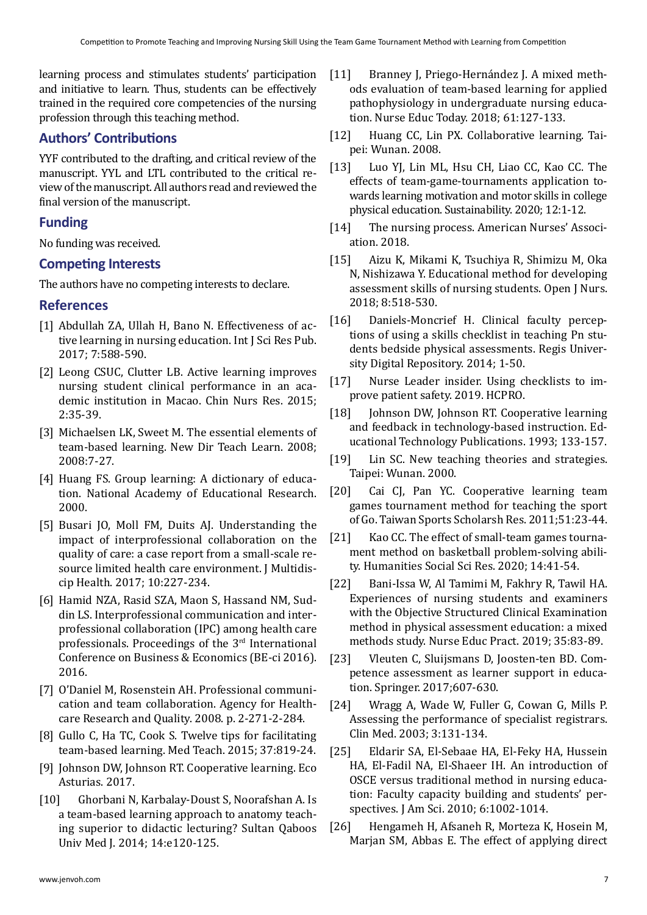learning process and stimulates students' participation and initiative to learn. Thus, students can be effectively trained in the required core competencies of the nursing profession through this teaching method.

# **Authors' Contributions**

YYF contributed to the drafting, and critical review of the manuscript. YYL and LTL contributed to the critical review of the manuscript. All authors read and reviewed the final version of the manuscript.

## **Funding**

No funding was received.

## **Competing Interests**

The authors have no competing interests to declare.

## **References**

- [1] Abdullah ZA, Ullah H, Bano N. [Effectiveness of ac](https://www.ijsrp.org/research-paper-0617/ijsrp-p6673.pdf)[tive learning in nursing education.](https://www.ijsrp.org/research-paper-0617/ijsrp-p6673.pdf) Int J Sci Res Pub. 2017; 7:588-590.
- [2] Leong CSUC, Clutter LB. [Active learning improves](https://www.sciencedirect.com/science/article/pii/S2095771815300025)  [nursing student clinical performance in an aca](https://www.sciencedirect.com/science/article/pii/S2095771815300025)[demic institution in Macao.](https://www.sciencedirect.com/science/article/pii/S2095771815300025) Chin Nurs Res. 2015; 2:35-39.
- [3] Michaelsen LK, Sweet M. [The essential elements of](https://onlinelibrary.wiley.com/doi/abs/10.1002/tl.330)  [team-based learning.](https://onlinelibrary.wiley.com/doi/abs/10.1002/tl.330) New Dir Teach Learn. 2008; 2008:7-27.
- [4] Huang FS. [Group learning: A dictionary of educa](https://terms.naer.edu.tw/detail/1312970/)[tion. National Academy of Educational Research.](https://terms.naer.edu.tw/detail/1312970/)  2000.
- [5] Busari JO, Moll FM, Duits AJ. [Understanding the](https://www.ncbi.nlm.nih.gov/pmc/articles/PMC5472431/)  [impact of interprofessional collaboration on the](https://www.ncbi.nlm.nih.gov/pmc/articles/PMC5472431/)  [quality of care: a case report from a small-scale re](https://www.ncbi.nlm.nih.gov/pmc/articles/PMC5472431/)[source limited health care environment.](https://www.ncbi.nlm.nih.gov/pmc/articles/PMC5472431/) J Multidiscip Health. 2017; 10:227-234.
- [6] Hamid NZA, Rasid SZA, Maon S, Hassand NM, Suddin LS. [Interprofessional communication and inter](https://www.researchgate.net/profile/Nur-Zainie-Abd-Hamid/publication/311254230_Interprofessional_Communication_and_Interprofessional_Collaboration_IPC_among_Health_Care_Professionals/links/5a8b84c00f7e9b1a9555b875/Interprofessional-Communication-and-Interprofessional-Collaboration-IPC-among-Health-Care-Professionals.pdf)[professional collaboration \(IPC\) among health care](https://www.researchgate.net/profile/Nur-Zainie-Abd-Hamid/publication/311254230_Interprofessional_Communication_and_Interprofessional_Collaboration_IPC_among_Health_Care_Professionals/links/5a8b84c00f7e9b1a9555b875/Interprofessional-Communication-and-Interprofessional-Collaboration-IPC-among-Health-Care-Professionals.pdf)  [professionals.](https://www.researchgate.net/profile/Nur-Zainie-Abd-Hamid/publication/311254230_Interprofessional_Communication_and_Interprofessional_Collaboration_IPC_among_Health_Care_Professionals/links/5a8b84c00f7e9b1a9555b875/Interprofessional-Communication-and-Interprofessional-Collaboration-IPC-among-Health-Care-Professionals.pdf) Proceedings of the 3rd International Conference on Business & Economics (BE-ci 2016). 2016.
- [7] O'Daniel M, Rosenstein AH. [Professional communi](https://www.ncbi.nlm.nih.gov/books/NBK2637/?report=reader)[cation and team collaboration.](https://www.ncbi.nlm.nih.gov/books/NBK2637/?report=reader) Agency for Healthcare Research and Quality. 2008. p. 2-271-2-284.
- [8] Gullo C, Ha TC, Cook S. [Twelve tips for facilitating](https://www.tandfonline.com/doi/full/10.3109/0142159X.2014.1001729)  [team-based learning.](https://www.tandfonline.com/doi/full/10.3109/0142159X.2014.1001729) Med Teach. 2015; 37:819-24.
- [9] Johnson DW, Johnson RT. [Cooperative learning.](http://ecoasturias.com/images/PDF/ponencia_zaragoza_David_Johnson.pdf) Eco Asturias. 2017.
- [10] Ghorbani N, Karbalay-Doust S, Noorafshan A. [Is](https://www.ncbi.nlm.nih.gov/pmc/articles/PMC3916264/)  [a team-based learning approach to anatomy teach](https://www.ncbi.nlm.nih.gov/pmc/articles/PMC3916264/)[ing superior to didactic lecturing?](https://www.ncbi.nlm.nih.gov/pmc/articles/PMC3916264/) Sultan Qaboos Univ Med J. 2014; 14:e120-125.
- [11] Branney J, Priego-Hernández J. [A mixed meth](https://www.sciencedirect.com/science/article/pii/S026069171730268X)[ods evaluation of team-based learning for applied](https://www.sciencedirect.com/science/article/pii/S026069171730268X) [pathophysiology in undergraduate nursing educa](https://www.sciencedirect.com/science/article/pii/S026069171730268X)[tion.](https://www.sciencedirect.com/science/article/pii/S026069171730268X) Nurse Educ Today. 2018; 61:127-133.
- [12] Huang CC, Lin PX. Collaborative learning. Taipei: Wunan. 2008.
- [13] Luo YJ, Lin ML, Hsu CH, Liao CC, Kao CC. [The](https://www.mdpi.com/2071-1050/12/15/6147) [effects of team-game-tournaments application to](https://www.mdpi.com/2071-1050/12/15/6147)[wards learning motivation and motor skills in college](https://www.mdpi.com/2071-1050/12/15/6147) [physical education.](https://www.mdpi.com/2071-1050/12/15/6147) Sustainability. 2020; 12:1-12.
- [14] [The nursing process.](https://www.nursingworld.org/practice-policy/workforce/what-is-nursing/the-nursing-process/) American Nurses' Association. 2018.
- [15] Aizu K, Mikami K, Tsuchiya R, Shimizu M, Oka N, Nishizawa Y. [Educational method for developing](https://www.scirp.org/html/2-1441033_86826.htm?pagespeed=noscript) [assessment skills of nursing students.](https://www.scirp.org/html/2-1441033_86826.htm?pagespeed=noscript) Open J Nurs. 2018; 8:518-530.
- [16] Daniels-Moncrief H. [Clinical faculty percep](https://epublications.regis.edu/theses/184/)[tions of using a skills checklist in teaching Pn stu](https://epublications.regis.edu/theses/184/)[dents bedside physical assessments.](https://epublications.regis.edu/theses/184/) Regis University Digital Repository. 2014; 1-50.
- [17] Nurse Leader insider. Using checklists to improve patient safety. 2019. HCPRO.
- [18] Johnson DW, Johnson RT. [Cooperative learning](https://books.google.co.in/books?hl=en&lr=&id=ss3fz-5WC6gC&oi=fnd&pg=PA133&dq=Cooperative+learning+and+feedback+in+technology-based+instruction&ots=uA2HvpJ5O5&sig=_3ojvzKMfthZGSQslEW4JhR5aHY&redir_esc=y#v=onepage&q=Cooperative%20learning%20and%20feedback%20in%20technology-based%20instruction&f=false) [and feedback in technology-based instruction. Ed](https://books.google.co.in/books?hl=en&lr=&id=ss3fz-5WC6gC&oi=fnd&pg=PA133&dq=Cooperative+learning+and+feedback+in+technology-based+instruction&ots=uA2HvpJ5O5&sig=_3ojvzKMfthZGSQslEW4JhR5aHY&redir_esc=y#v=onepage&q=Cooperative%20learning%20and%20feedback%20in%20technology-based%20instruction&f=false)[ucational Technology Publications.](https://books.google.co.in/books?hl=en&lr=&id=ss3fz-5WC6gC&oi=fnd&pg=PA133&dq=Cooperative+learning+and+feedback+in+technology-based+instruction&ots=uA2HvpJ5O5&sig=_3ojvzKMfthZGSQslEW4JhR5aHY&redir_esc=y#v=onepage&q=Cooperative%20learning%20and%20feedback%20in%20technology-based%20instruction&f=false) 1993; 133-157.
- [19] Lin SC. New teaching theories and strategies. Taipei: Wunan. 2000.
- [20] Cai CJ, Pan YC. Cooperative learning team games tournament method for teaching the sport of Go. Taiwan Sports Scholarsh Res. 2011;51:23-44.
- [21] Kao CC. The effect of small-team games tournament method on basketball problem-solving ability. Humanities Social Sci Res. 2020; 14:41-54.
- [22] Bani-Issa W, Al Tamimi M, Fakhry R, Tawil HA. [Experiences of nursing students and examiners](https://www.sciencedirect.com/science/article/abs/pii/S1471595318300246) [with the Objective Structured Clinical Examination](https://www.sciencedirect.com/science/article/abs/pii/S1471595318300246) [method in physical assessment education: a mixed](https://www.sciencedirect.com/science/article/abs/pii/S1471595318300246) [methods study.](https://www.sciencedirect.com/science/article/abs/pii/S1471595318300246) Nurse Educ Pract. 2019; 35:83-89.
- [23] Vleuten C, Sluijsmans D, Joosten-ten BD. [Com](https://link.springer.com/chapter/10.1007/978-3-319-41713-4_28)[petence assessment as learner support in educa](https://link.springer.com/chapter/10.1007/978-3-319-41713-4_28)[tion](https://link.springer.com/chapter/10.1007/978-3-319-41713-4_28). Springer. 2017;607-630.
- [24] Wragg A, Wade W, Fuller G, Cowan G, Mills P. [Assessing the performance of specialist registrars.](https://www.ncbi.nlm.nih.gov/pmc/articles/pmc4952733/) Clin Med. 2003; 3:131-134.
- [25] Eldarir SA, El-Sebaae HA, El-Feky HA, Hussein HA, El-Fadil NA, El-Shaeer IH. [An introduction of](https://www.researchgate.net/profile/Nagwa-Afefy/publication/327719883_Students) [OSCE versus traditional method in nursing educa](https://www.researchgate.net/profile/Nagwa-Afefy/publication/327719883_Students)[tion: Faculty capacity building and students' per](https://www.researchgate.net/profile/Nagwa-Afefy/publication/327719883_Students)[spectives.](https://www.researchgate.net/profile/Nagwa-Afefy/publication/327719883_Students) J Am Sci. 2010; 6:1002-1014.
- [26] Hengameh H, Afsaneh R, Morteza K, Hosein M, Marjan SM, Abbas E. [The effect of applying direct](https://www.ncbi.nlm.nih.gov/pmc/articles/PMC4803945/)